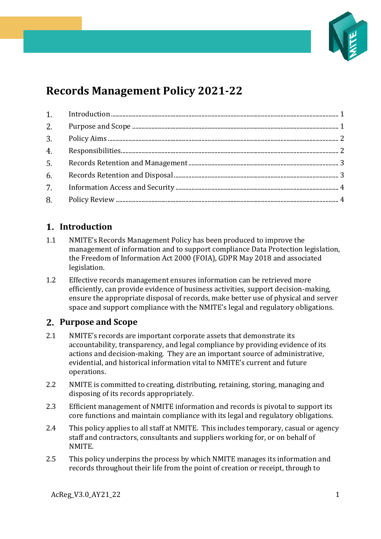

# **Records Management Policy 2021-22**

# <span id="page-0-0"></span>**Introduction**

- 1.1 NMITE's Records Management Policy has been produced to improve the management of information and to support compliance Data Protection legislation, the Freedom of Information Act 2000 (FOIA), GDPR May 2018 and associated legislation.
- 1.2 Effective records management ensures information can be retrieved more efficiently, can provide evidence of business activities, support decision-making, ensure the appropriate disposal of records, make better use of physical and server space and support compliance with the NMITE's legal and regulatory obligations.

# <span id="page-0-1"></span>**Purpose and Scope**

- 2.1 NMITE's records are important corporate assets that demonstrate its accountability, transparency, and legal compliance by providing evidence of its actions and decision-making. They are an important source of administrative, evidential, and historical information vital to NMITE's current and future operations.
- 2.2 NMITE is committed to creating, distributing, retaining, storing, managing and disposing of its records appropriately.
- 2.3 Efficient management of NMITE information and records is pivotal to support its core functions and maintain compliance with its legal and regulatory obligations.
- 2.4 This policy applies to all staff at NMITE. This includes temporary, casual or agency staff and contractors, consultants and suppliers working for, or on behalf of NMITE.
- 2.5 This policy underpins the process by which NMITE manages its information and records throughout their life from the point of creation or receipt, through to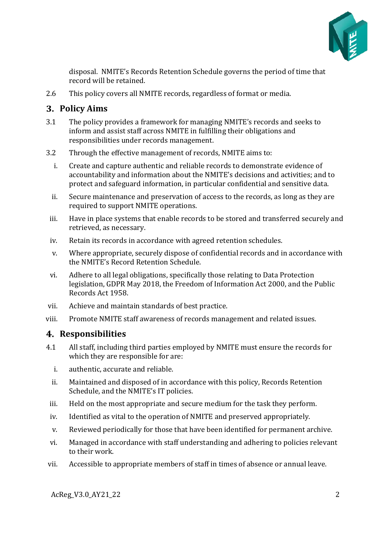

disposal. NMITE's Records Retention Schedule governs the period of time that record will be retained.

2.6 This policy covers all NMITE records, regardless of format or media.

## <span id="page-1-0"></span>**Policy Aims**

- 3.1 The policy provides a framework for managing NMITE's records and seeks to inform and assist staff across NMITE in fulfilling their obligations and responsibilities under records management.
- 3.2 Through the effective management of records, NMITE aims to:
	- i. Create and capture authentic and reliable records to demonstrate evidence of accountability and information about the NMITE's decisions and activities; and to protect and safeguard information, in particular confidential and sensitive data.
	- ii. Secure maintenance and preservation of access to the records, as long as they are required to support NMITE operations.
	- iii. Have in place systems that enable records to be stored and transferred securely and retrieved, as necessary.
	- iv. Retain its records in accordance with agreed retention schedules.
	- v. Where appropriate, securely dispose of confidential records and in accordance with the NMITE's Record Retention Schedule.
- vi. Adhere to all legal obligations, specifically those relating to Data Protection legislation, GDPR May 2018, the Freedom of Information Act 2000, and the Public Records Act 1958.
- vii. Achieve and maintain standards of best practice.
- viii. Promote NMITE staff awareness of records management and related issues.

#### <span id="page-1-1"></span>**Responsibilities**

- 4.1 All staff, including third parties employed by NMITE must ensure the records for which they are responsible for are:
	- i. authentic, accurate and reliable.
	- ii. Maintained and disposed of in accordance with this policy, Records Retention Schedule, and the NMITE's IT policies.
- iii. Held on the most appropriate and secure medium for the task they perform.
- iv. Identified as vital to the operation of NMITE and preserved appropriately.
- v. Reviewed periodically for those that have been identified for permanent archive.
- vi. Managed in accordance with staff understanding and adhering to policies relevant to their work.
- vii. Accessible to appropriate members of staff in times of absence or annual leave.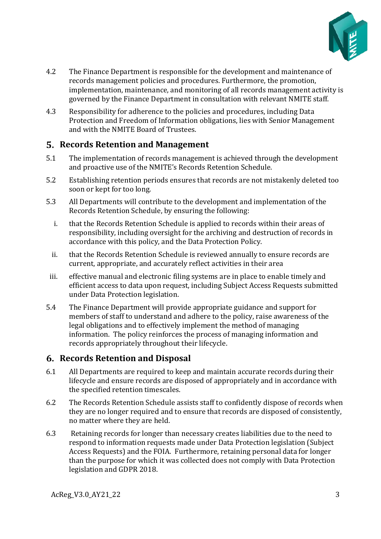

- 4.2 The Finance Department is responsible for the development and maintenance of records management policies and procedures. Furthermore, the promotion, implementation, maintenance, and monitoring of all records management activity is governed by the Finance Department in consultation with relevant NMITE staff.
- 4.3 Responsibility for adherence to the policies and procedures, including Data Protection and Freedom of Information obligations, lies with Senior Management and with the NMITE Board of Trustees.

## <span id="page-2-0"></span>**Records Retention and Management**

- 5.1 The implementation of records management is achieved through the development and proactive use of the NMITE's Records Retention Schedule.
- 5.2 Establishing retention periods ensures that records are not mistakenly deleted too soon or kept for too long.
- 5.3 All Departments will contribute to the development and implementation of the Records Retention Schedule, by ensuring the following:
	- i. that the Records Retention Schedule is applied to records within their areas of responsibility, including oversight for the archiving and destruction of records in accordance with this policy, and the Data Protection Policy.
	- ii. that the Records Retention Schedule is reviewed annually to ensure records are current, appropriate, and accurately reflect activities in their area
- iii. effective manual and electronic filing systems are in place to enable timely and efficient access to data upon request, including Subject Access Requests submitted under Data Protection legislation.
- 5.4 The Finance Department will provide appropriate guidance and support for members of staff to understand and adhere to the policy, raise awareness of the legal obligations and to effectively implement the method of managing information. The policy reinforces the process of managing information and records appropriately throughout their lifecycle.

# <span id="page-2-1"></span>**Records Retention and Disposal**

- 6.1 All Departments are required to keep and maintain accurate records during their lifecycle and ensure records are disposed of appropriately and in accordance with the specified retention timescales.
- 6.2 The Records Retention Schedule assists staff to confidently dispose of records when they are no longer required and to ensure that records are disposed of consistently, no matter where they are held.
- 6.3 Retaining records for longer than necessary creates liabilities due to the need to respond to information requests made under Data Protection legislation (Subject Access Requests) and the FOIA. Furthermore, retaining personal data for longer than the purpose for which it was collected does not comply with Data Protection legislation and GDPR 2018.